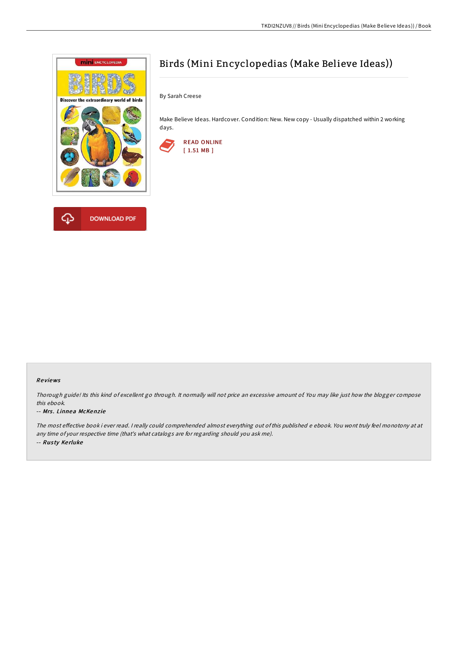

# Birds (Mini Encyclopedias (Make Believe Ideas))

By Sarah Creese

Make Believe Ideas. Hardcover. Condition: New. New copy - Usually dispatched within 2 working days.



### Re views

Thorough guide! Its this kind of excellent go through. It normally will not price an excessive amount of. You may like just how the blogger compose this ebook.

#### -- Mrs. Linnea McKenzie

The most effective book i ever read. I really could comprehended almost everything out of this published e ebook. You wont truly feel monotony at at any time of your respective time (that's what catalogs are for regarding should you ask me). -- Rus ty Ke rluke